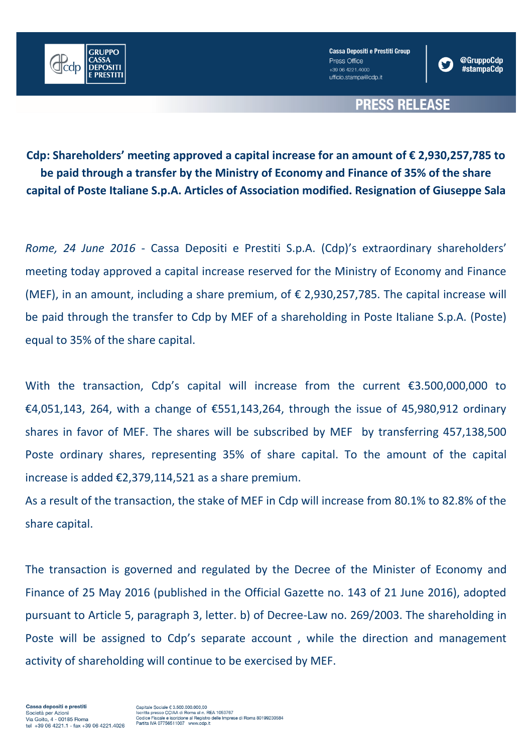

**Cassa Depositi e Prestiti Group** Press Office +39 06 4221.4000 ufficio.stampa@cdp.it



## **PRESS RELEASE**

**Cdp: Shareholders' meeting approved a capital increase for an amount of € 2,930,257,785 to be paid through a transfer by the Ministry of Economy and Finance of 35% of the share capital of Poste Italiane S.p.A. Articles of Association modified. Resignation of Giuseppe Sala**

*Rome, 24 June 2016* - Cassa Depositi e Prestiti S.p.A. (Cdp)'s extraordinary shareholders' meeting today approved a capital increase reserved for the Ministry of Economy and Finance (MEF), in an amount, including a share premium, of  $\epsilon$  2,930,257,785. The capital increase will be paid through the transfer to Cdp by MEF of a shareholding in Poste Italiane S.p.A. (Poste) equal to 35% of the share capital.

With the transaction, Cdp's capital will increase from the current €3.500,000,000 to €4,051,143, 264, with a change of €551,143,264, through the issue of 45,980,912 ordinary shares in favor of MEF. The shares will be subscribed by MEF by transferring 457,138,500 Poste ordinary shares, representing 35% of share capital. To the amount of the capital increase is added €2,379,114,521 as a share premium.

As a result of the transaction, the stake of MEF in Cdp will increase from 80.1% to 82.8% of the share capital.

The transaction is governed and regulated by the Decree of the Minister of Economy and Finance of 25 May 2016 (published in the Official Gazette no. 143 of 21 June 2016), adopted pursuant to Article 5, paragraph 3, letter. b) of Decree-Law no. 269/2003. The shareholding in Poste will be assigned to Cdp's separate account , while the direction and management activity of shareholding will continue to be exercised by MEF.